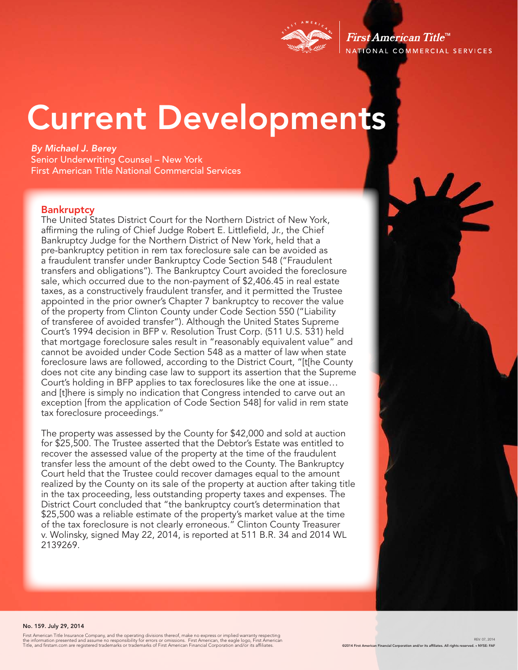

First American Title<sup>tM</sup> NATIONAL COMMERCIAL SERVICES

# Current Developments

*By Michael J. Berey*  Senior Underwriting Counsel – New York First American Title National Commercial Services

#### **Bankruptcy**

The United States District Court for the Northern District of New York, affirming the ruling of Chief Judge Robert E. Littlefield, Jr., the Chief Bankruptcy Judge for the Northern District of New York, held that a pre-bankruptcy petition in rem tax foreclosure sale can be avoided as a fraudulent transfer under Bankruptcy Code Section 548 ("Fraudulent transfers and obligations"). The Bankruptcy Court avoided the foreclosure sale, which occurred due to the non-payment of \$2,406.45 in real estate taxes, as a constructively fraudulent transfer, and it permitted the Trustee appointed in the prior owner's Chapter 7 bankruptcy to recover the value of the property from Clinton County under Code Section 550 ("Liability of transferee of avoided transfer"). Although the United States Supreme Court's 1994 decision in BFP v. Resolution Trust Corp. (511 U.S. 531) held that mortgage foreclosure sales result in "reasonably equivalent value" and cannot be avoided under Code Section 548 as a matter of law when state foreclosure laws are followed, according to the District Court, "[t[he County does not cite any binding case law to support its assertion that the Supreme Court's holding in BFP applies to tax foreclosures like the one at issue… and [t]here is simply no indication that Congress intended to carve out an exception [from the application of Code Section 548] for valid in rem state tax foreclosure proceedings."

The property was assessed by the County for \$42,000 and sold at auction for \$25,500. The Trustee asserted that the Debtor's Estate was entitled to recover the assessed value of the property at the time of the fraudulent transfer less the amount of the debt owed to the County. The Bankruptcy Court held that the Trustee could recover damages equal to the amount realized by the County on its sale of the property at auction after taking title in the tax proceeding, less outstanding property taxes and expenses. The District Court concluded that "the bankruptcy court's determination that \$25,500 was a reliable estimate of the property's market value at the time of the tax foreclosure is not clearly erroneous." Clinton County Treasurer v. Wolinsky, signed May 22, 2014, is reported at 511 B.R. 34 and 2014 WL 2139269.

#### No. 159. July 29, 2014

First American Title Insurance Company, and the operating divisions thereof, make no express or implied warranty respecting<br>the information presented and assume no responsibility for errors or omissions. First American, th

REV: 07, 2014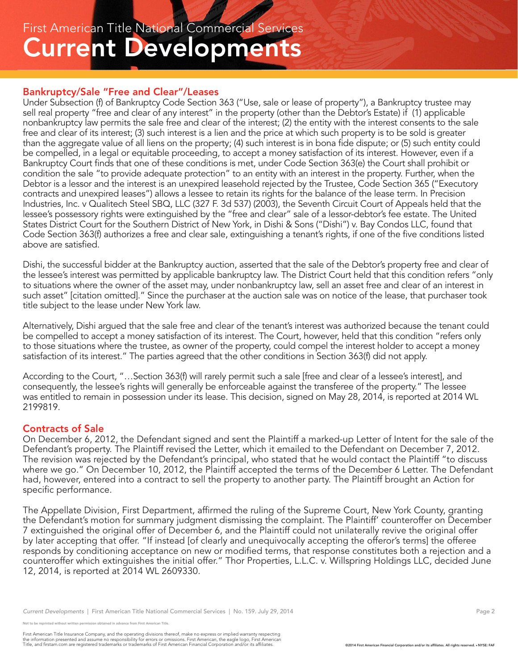### Current Developments First American Title National Commercial Services

#### Bankruptcy/Sale "Free and Clear"/Leases

Under Subsection (f) of Bankruptcy Code Section 363 ("Use, sale or lease of property"), a Bankruptcy trustee may sell real property "free and clear of any interest" in the property (other than the Debtor's Estate) if (1) applicable nonbankruptcy law permits the sale free and clear of the interest; (2) the entity with the interest consents to the sale free and clear of its interest; (3) such interest is a lien and the price at which such property is to be sold is greater than the aggregate value of all liens on the property; (4) such interest is in bona fide dispute; or (5) such entity could be compelled, in a legal or equitable proceeding, to accept a money satisfaction of its interest. However, even if a Bankruptcy Court finds that one of these conditions is met, under Code Section 363(e) the Court shall prohibit or condition the sale "to provide adequate protection" to an entity with an interest in the property. Further, when the Debtor is a lessor and the interest is an unexpired leasehold rejected by the Trustee, Code Section 365 ("Executory contracts and unexpired leases") allows a lessee to retain its rights for the balance of the lease term. In Precision Industries, Inc. v Qualitech Steel SBQ, LLC (327 F. 3d 537) (2003), the Seventh Circuit Court of Appeals held that the lessee's possessory rights were extinguished by the "free and clear" sale of a lessor-debtor's fee estate. The United States District Court for the Southern District of New York, in Dishi & Sons ("Dishi") v. Bay Condos LLC, found that Code Section 363(f) authorizes a free and clear sale, extinguishing a tenant's rights, if one of the five conditions listed above are satisfied.

Dishi, the successful bidder at the Bankruptcy auction, asserted that the sale of the Debtor's property free and clear of the lessee's interest was permitted by applicable bankruptcy law. The District Court held that this condition refers "only to situations where the owner of the asset may, under nonbankruptcy law, sell an asset free and clear of an interest in such asset" [citation omitted]." Since the purchaser at the auction sale was on notice of the lease, that purchaser took title subject to the lease under New York law.

Alternatively, Dishi argued that the sale free and clear of the tenant's interest was authorized because the tenant could be compelled to accept a money satisfaction of its interest. The Court, however, held that this condition "refers only to those situations where the trustee, as owner of the property, could compel the interest holder to accept a money satisfaction of its interest." The parties agreed that the other conditions in Section 363(f) did not apply.

According to the Court, "…Section 363(f) will rarely permit such a sale [free and clear of a lessee's interest], and consequently, the lessee's rights will generally be enforceable against the transferee of the property." The lessee was entitled to remain in possession under its lease. This decision, signed on May 28, 2014, is reported at 2014 WL 2199819.

#### Contracts of Sale

On December 6, 2012, the Defendant signed and sent the Plaintiff a marked-up Letter of Intent for the sale of the Defendant's property. The Plaintiff revised the Letter, which it emailed to the Defendant on December 7, 2012. The revision was rejected by the Defendant's principal, who stated that he would contact the Plaintiff "to discuss where we go." On December 10, 2012, the Plaintiff accepted the terms of the December 6 Letter. The Defendant had, however, entered into a contract to sell the property to another party. The Plaintiff brought an Action for specific performance.

The Appellate Division, First Department, affirmed the ruling of the Supreme Court, New York County, granting the Defendant's motion for summary judgment dismissing the complaint. The Plaintiff' counteroffer on December 7 extinguished the original offer of December 6, and the Plaintiff could not unilaterally revive the original offer by later accepting that offer. "If instead [of clearly and unequivocally accepting the offeror's terms] the offeree responds by conditioning acceptance on new or modified terms, that response constitutes both a rejection and a counteroffer which extinguishes the initial offer." Thor Properties, L.L.C. v. Willspring Holdings LLC, decided June 12, 2014, is reported at 2014 WL 2609330.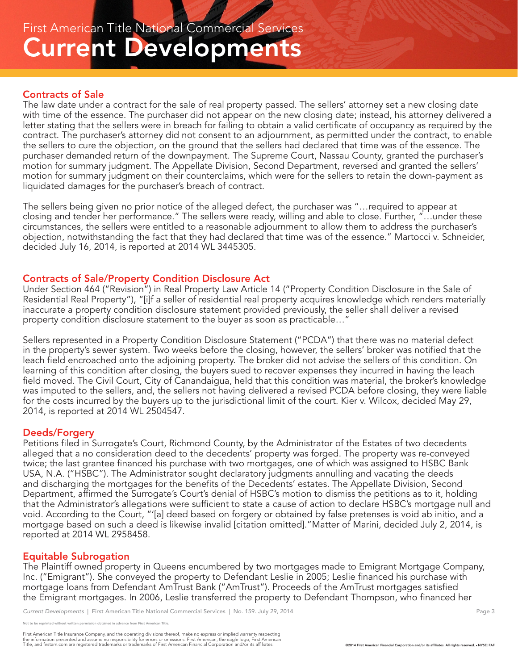### Contracts of Sale

The law date under a contract for the sale of real property passed. The sellers' attorney set a new closing date with time of the essence. The purchaser did not appear on the new closing date; instead, his attorney delivered a letter stating that the sellers were in breach for failing to obtain a valid certificate of occupancy as required by the contract. The purchaser's attorney did not consent to an adjournment, as permitted under the contract, to enable the sellers to cure the objection, on the ground that the sellers had declared that time was of the essence. The purchaser demanded return of the downpayment. The Supreme Court, Nassau County, granted the purchaser's motion for summary judgment. The Appellate Division, Second Department, reversed and granted the sellers' motion for summary judgment on their counterclaims, which were for the sellers to retain the down-payment as liquidated damages for the purchaser's breach of contract.

The sellers being given no prior notice of the alleged defect, the purchaser was "…required to appear at closing and tender her performance." The sellers were ready, willing and able to close. Further, "…under these circumstances, the sellers were entitled to a reasonable adjournment to allow them to address the purchaser's objection, notwithstanding the fact that they had declared that time was of the essence." Martocci v. Schneider, decided July 16, 2014, is reported at 2014 WL 3445305.

#### Contracts of Sale/Property Condition Disclosure Act

Under Section 464 ("Revision") in Real Property Law Article 14 ("Property Condition Disclosure in the Sale of Residential Real Property"), "[i]f a seller of residential real property acquires knowledge which renders materially inaccurate a property condition disclosure statement provided previously, the seller shall deliver a revised property condition disclosure statement to the buyer as soon as practicable…"

Sellers represented in a Property Condition Disclosure Statement ("PCDA") that there was no material defect in the property's sewer system. Two weeks before the closing, however, the sellers' broker was notified that the leach field encroached onto the adjoining property. The broker did not advise the sellers of this condition. On learning of this condition after closing, the buyers sued to recover expenses they incurred in having the leach field moved. The Civil Court, City of Canandaigua, held that this condition was material, the broker's knowledge was imputed to the sellers, and, the sellers not having delivered a revised PCDA before closing, they were liable for the costs incurred by the buyers up to the jurisdictional limit of the court. Kier v. Wilcox, decided May 29, 2014, is reported at 2014 WL 2504547.

#### Deeds/Forgery

Petitions filed in Surrogate's Court, Richmond County, by the Administrator of the Estates of two decedents alleged that a no consideration deed to the decedents' property was forged. The property was re-conveyed twice; the last grantee financed his purchase with two mortgages, one of which was assigned to HSBC Bank USA, N.A. ("HSBC"). The Administrator sought declaratory judgments annulling and vacating the deeds and discharging the mortgages for the benefits of the Decedents' estates. The Appellate Division, Second Department, affirmed the Surrogate's Court's denial of HSBC's motion to dismiss the petitions as to it, holding that the Administrator's allegations were sufficient to state a cause of action to declare HSBC's mortgage null and void. According to the Court, "'[a] deed based on forgery or obtained by false pretenses is void ab initio, and a mortgage based on such a deed is likewise invalid [citation omitted]."Matter of Marini, decided July 2, 2014, is reported at 2014 WL 2958458.

#### Equitable Subrogation

The Plaintiff owned property in Queens encumbered by two mortgages made to Emigrant Mortgage Company, Inc. ("Emigrant"). She conveyed the property to Defendant Leslie in 2005; Leslie financed his purchase with mortgage loans from Defendant AmTrust Bank ("AmTrust"). Proceeds of the AmTrust mortgages satisfied the Emigrant mortgages. In 2006, Leslie transferred the property to Defendant Thompson, who financed her

*Current Developments* | First American Title National Commercial Services | No. 159. July 29, 2014 Page 3 Page 3

rinted without written permission obtained in advance from First American Title.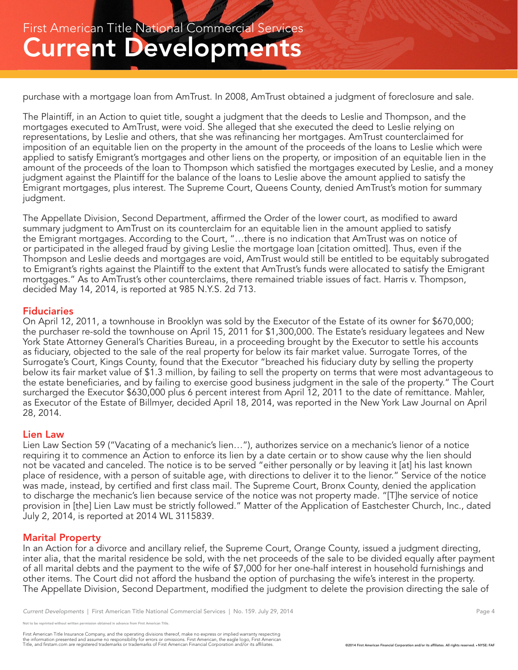purchase with a mortgage loan from AmTrust. In 2008, AmTrust obtained a judgment of foreclosure and sale.

The Plaintiff, in an Action to quiet title, sought a judgment that the deeds to Leslie and Thompson, and the mortgages executed to AmTrust, were void. She alleged that she executed the deed to Leslie relying on representations, by Leslie and others, that she was refinancing her mortgages. AmTrust counterclaimed for imposition of an equitable lien on the property in the amount of the proceeds of the loans to Leslie which were applied to satisfy Emigrant's mortgages and other liens on the property, or imposition of an equitable lien in the amount of the proceeds of the loan to Thompson which satisfied the mortgages executed by Leslie, and a money judgment against the Plaintiff for the balance of the loans to Leslie above the amount applied to satisfy the Emigrant mortgages, plus interest. The Supreme Court, Queens County, denied AmTrust's motion for summary judgment.

The Appellate Division, Second Department, affirmed the Order of the lower court, as modified to award summary judgment to AmTrust on its counterclaim for an equitable lien in the amount applied to satisfy the Emigrant mortgages. According to the Court, "…there is no indication that AmTrust was on notice of or participated in the alleged fraud by giving Leslie the mortgage loan [citation omitted]. Thus, even if the Thompson and Leslie deeds and mortgages are void, AmTrust would still be entitled to be equitably subrogated to Emigrant's rights against the Plaintiff to the extent that AmTrust's funds were allocated to satisfy the Emigrant mortgages." As to AmTrust's other counterclaims, there remained triable issues of fact. Harris v. Thompson, decided May 14, 2014, is reported at 985 N.Y.S. 2d 713.

#### **Fiduciaries**

On April 12, 2011, a townhouse in Brooklyn was sold by the Executor of the Estate of its owner for \$670,000; the purchaser re-sold the townhouse on April 15, 2011 for \$1,300,000. The Estate's residuary legatees and New York State Attorney General's Charities Bureau, in a proceeding brought by the Executor to settle his accounts as fiduciary, objected to the sale of the real property for below its fair market value. Surrogate Torres, of the Surrogate's Court, Kings County, found that the Executor "breached his fiduciary duty by selling the property below its fair market value of \$1.3 million, by failing to sell the property on terms that were most advantageous to the estate beneficiaries, and by failing to exercise good business judgment in the sale of the property." The Court surcharged the Executor \$630,000 plus 6 percent interest from April 12, 2011 to the date of remittance. Mahler, as Executor of the Estate of Billmyer, decided April 18, 2014, was reported in the New York Law Journal on April 28, 2014.

#### Lien Law

Lien Law Section 59 ("Vacating of a mechanic's lien…"), authorizes service on a mechanic's lienor of a notice requiring it to commence an Action to enforce its lien by a date certain or to show cause why the lien should not be vacated and canceled. The notice is to be served "either personally or by leaving it [at] his last known place of residence, with a person of suitable age, with directions to deliver it to the lienor." Service of the notice was made, instead, by certified and first class mail. The Supreme Court, Bronx County, denied the application to discharge the mechanic's lien because service of the notice was not property made. "[T]he service of notice provision in [the] Lien Law must be strictly followed." Matter of the Application of Eastchester Church, Inc., dated July 2, 2014, is reported at 2014 WL 3115839.

#### Marital Property

In an Action for a divorce and ancillary relief, the Supreme Court, Orange County, issued a judgment directing, inter alia, that the marital residence be sold, with the net proceeds of the sale to be divided equally after payment of all marital debts and the payment to the wife of \$7,000 for her one-half interest in household furnishings and other items. The Court did not afford the husband the option of purchasing the wife's interest in the property. The Appellate Division, Second Department, modified the judgment to delete the provision directing the sale of

eprinted without written permission obtained in advance from First American Title.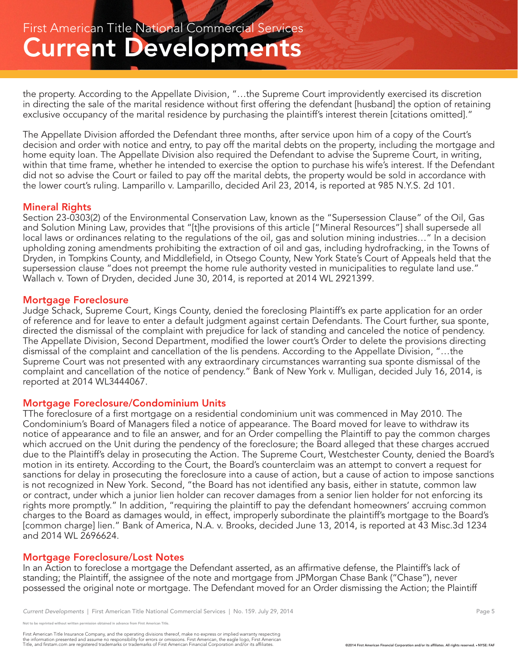the property. According to the Appellate Division, "…the Supreme Court improvidently exercised its discretion in directing the sale of the marital residence without first offering the defendant [husband] the option of retaining exclusive occupancy of the marital residence by purchasing the plaintiff's interest therein [citations omitted]."

The Appellate Division afforded the Defendant three months, after service upon him of a copy of the Court's decision and order with notice and entry, to pay off the marital debts on the property, including the mortgage and home equity loan. The Appellate Division also required the Defendant to advise the Supreme Court, in writing, within that time frame, whether he intended to exercise the option to purchase his wife's interest. If the Defendant did not so advise the Court or failed to pay off the marital debts, the property would be sold in accordance with the lower court's ruling. Lamparillo v. Lamparillo, decided Aril 23, 2014, is reported at 985 N.Y.S. 2d 101.

#### Mineral Rights

Section 23-0303(2) of the Environmental Conservation Law, known as the "Supersession Clause" of the Oil, Gas and Solution Mining Law, provides that "[t]he provisions of this article ["Mineral Resources"] shall supersede all local laws or ordinances relating to the regulations of the oil, gas and solution mining industries…" In a decision upholding zoning amendments prohibiting the extraction of oil and gas, including hydrofracking, in the Towns of Dryden, in Tompkins County, and Middlefield, in Otsego County, New York State's Court of Appeals held that the supersession clause "does not preempt the home rule authority vested in municipalities to regulate land use." Wallach v. Town of Dryden, decided June 30, 2014, is reported at 2014 WL 2921399.

#### Mortgage Foreclosure

Judge Schack, Supreme Court, Kings County, denied the foreclosing Plaintiff's ex parte application for an order of reference and for leave to enter a default judgment against certain Defendants. The Court further, sua sponte, directed the dismissal of the complaint with prejudice for lack of standing and canceled the notice of pendency. The Appellate Division, Second Department, modified the lower court's Order to delete the provisions directing dismissal of the complaint and cancellation of the lis pendens. According to the Appellate Division, "…the Supreme Court was not presented with any extraordinary circumstances warranting sua sponte dismissal of the complaint and cancellation of the notice of pendency." Bank of New York v. Mulligan, decided July 16, 2014, is reported at 2014 WL3444067.

#### Mortgage Foreclosure/Condominium Units

TThe foreclosure of a first mortgage on a residential condominium unit was commenced in May 2010. The Condominium's Board of Managers filed a notice of appearance. The Board moved for leave to withdraw its notice of appearance and to file an answer, and for an Order compelling the Plaintiff to pay the common charges which accrued on the Unit during the pendency of the foreclosure; the Board alleged that these charges accrued due to the Plaintiff's delay in prosecuting the Action. The Supreme Court, Westchester County, denied the Board's motion in its entirety. According to the Court, the Board's counterclaim was an attempt to convert a request for sanctions for delay in prosecuting the foreclosure into a cause of action, but a cause of action to impose sanctions is not recognized in New York. Second, "the Board has not identified any basis, either in statute, common law or contract, under which a junior lien holder can recover damages from a senior lien holder for not enforcing its rights more promptly." In addition, "requiring the plaintiff to pay the defendant homeowners' accruing common charges to the Board as damages would, in effect, improperly subordinate the plaintiff's mortgage to the Board's [common charge] lien." Bank of America, N.A. v. Brooks, decided June 13, 2014, is reported at 43 Misc.3d 1234 and 2014 WL 2696624.

#### Mortgage Foreclosure/Lost Notes

In an Action to foreclose a mortgage the Defendant asserted, as an affirmative defense, the Plaintiff's lack of standing; the Plaintiff, the assignee of the note and mortgage from JPMorgan Chase Bank ("Chase"), never possessed the original note or mortgage. The Defendant moved for an Order dismissing the Action; the Plaintiff

eprinted without written permission obtained in advance from First American Title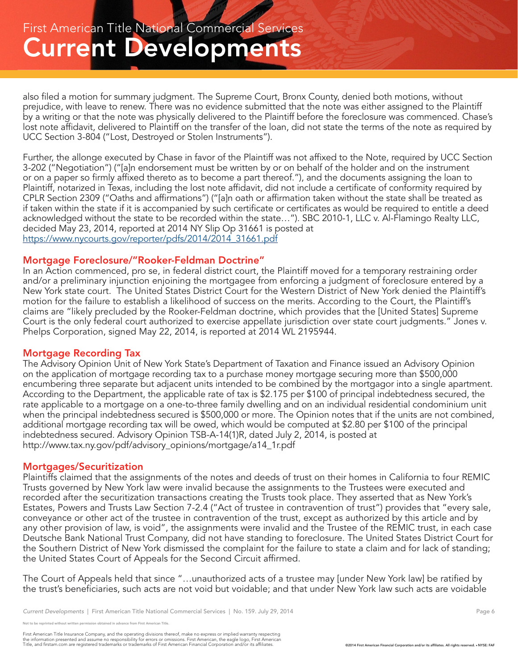also filed a motion for summary judgment. The Supreme Court, Bronx County, denied both motions, without prejudice, with leave to renew. There was no evidence submitted that the note was either assigned to the Plaintiff by a writing or that the note was physically delivered to the Plaintiff before the foreclosure was commenced. Chase's lost note affidavit, delivered to Plaintiff on the transfer of the loan, did not state the terms of the note as required by UCC Section 3-804 ("Lost, Destroyed or Stolen Instruments").

Further, the allonge executed by Chase in favor of the Plaintiff was not affixed to the Note, required by UCC Section 3-202 ("Negotiation") ("[a]n endorsement must be written by or on behalf of the holder and on the instrument or on a paper so firmly affixed thereto as to become a part thereof."), and the documents assigning the loan to Plaintiff, notarized in Texas, including the lost note affidavit, did not include a certificate of conformity required by CPLR Section 2309 ("Oaths and affirmations") ("[a]n oath or affirmation taken without the state shall be treated as if taken within the state if it is accompanied by such certificate or certificates as would be required to entitle a deed acknowledged without the state to be recorded within the state…"). SBC 2010-1, LLC v. Al-Flamingo Realty LLC, decided May 23, 2014, reported at 2014 NY Slip Op 31661 is posted at https://www.nycourts.gov/reporter/pdfs/2014/2014\_31661.pdf

#### Mortgage Foreclosure/"Rooker-Feldman Doctrine"

In an Action commenced, pro se, in federal district court, the Plaintiff moved for a temporary restraining order and/or a preliminary injunction enjoining the mortgagee from enforcing a judgment of foreclosure entered by a New York state court. The United States District Court for the Western District of New York denied the Plaintiff's motion for the failure to establish a likelihood of success on the merits. According to the Court, the Plaintiff's claims are "likely precluded by the Rooker-Feldman doctrine, which provides that the [United States] Supreme Court is the only federal court authorized to exercise appellate jurisdiction over state court judgments." Jones v. Phelps Corporation, signed May 22, 2014, is reported at 2014 WL 2195944.

#### Mortgage Recording Tax

The Advisory Opinion Unit of New York State's Department of Taxation and Finance issued an Advisory Opinion on the application of mortgage recording tax to a purchase money mortgage securing more than \$500,000 encumbering three separate but adjacent units intended to be combined by the mortgagor into a single apartment. According to the Department, the applicable rate of tax is \$2.175 per \$100 of principal indebtedness secured, the rate applicable to a mortgage on a one-to-three family dwelling and on an individual residential condominium unit when the principal indebtedness secured is \$500,000 or more. The Opinion notes that if the units are not combined, additional mortgage recording tax will be owed, which would be computed at \$2.80 per \$100 of the principal indebtedness secured. Advisory Opinion TSB-A-14(1)R, dated July 2, 2014, is posted at http://www.tax.ny.gov/pdf/advisory\_opinions/mortgage/a14\_1r.pdf

#### Mortgages/Securitization

Plaintiffs claimed that the assignments of the notes and deeds of trust on their homes in California to four REMIC Trusts governed by New York law were invalid because the assignments to the Trustees were executed and recorded after the securitization transactions creating the Trusts took place. They asserted that as New York's Estates, Powers and Trusts Law Section 7-2.4 ("Act of trustee in contravention of trust") provides that "every sale, conveyance or other act of the trustee in contravention of the trust, except as authorized by this article and by any other provision of law, is void", the assignments were invalid and the Trustee of the REMIC trust, in each case Deutsche Bank National Trust Company, did not have standing to foreclosure. The United States District Court for the Southern District of New York dismissed the complaint for the failure to state a claim and for lack of standing; the United States Court of Appeals for the Second Circuit affirmed.

The Court of Appeals held that since "…unauthorized acts of a trustee may [under New York law] be ratified by the trust's beneficiaries, such acts are not void but voidable; and that under New York law such acts are voidable

reprinted without written permission obtained in advance from First American Title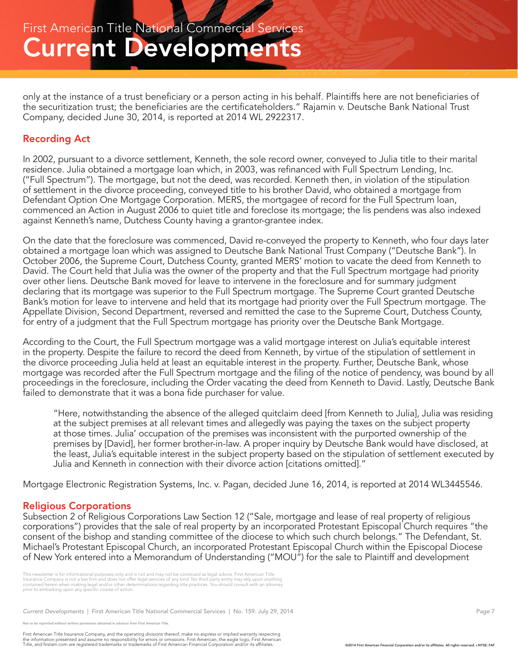only at the instance of a trust beneficiary or a person acting in his behalf. Plaintiffs here are not beneficiaries of the securitization trust; the beneficiaries are the certificateholders." Rajamin v. Deutsche Bank National Trust Company, decided June 30, 2014, is reported at 2014 WL 2922317.

### Recording Act

In 2002, pursuant to a divorce settlement, Kenneth, the sole record owner, conveyed to Julia title to their marital residence. Julia obtained a mortgage loan which, in 2003, was refinanced with Full Spectrum Lending, Inc. ("Full Spectrum"). The mortgage, but not the deed, was recorded. Kenneth then, in violation of the stipulation of settlement in the divorce proceeding, conveyed title to his brother David, who obtained a mortgage from Defendant Option One Mortgage Corporation. MERS, the mortgagee of record for the Full Spectrum loan, commenced an Action in August 2006 to quiet title and foreclose its mortgage; the lis pendens was also indexed against Kenneth's name, Dutchess County having a grantor-grantee index.

On the date that the foreclosure was commenced, David re-conveyed the property to Kenneth, who four days later obtained a mortgage loan which was assigned to Deutsche Bank National Trust Company ("Deutsche Bank"). In October 2006, the Supreme Court, Dutchess County, granted MERS' motion to vacate the deed from Kenneth to David. The Court held that Julia was the owner of the property and that the Full Spectrum mortgage had priority over other liens. Deutsche Bank moved for leave to intervene in the foreclosure and for summary judgment declaring that its mortgage was superior to the Full Spectrum mortgage. The Supreme Court granted Deutsche Bank's motion for leave to intervene and held that its mortgage had priority over the Full Spectrum mortgage. The Appellate Division, Second Department, reversed and remitted the case to the Supreme Court, Dutchess County, for entry of a judgment that the Full Spectrum mortgage has priority over the Deutsche Bank Mortgage.

According to the Court, the Full Spectrum mortgage was a valid mortgage interest on Julia's equitable interest in the property. Despite the failure to record the deed from Kenneth, by virtue of the stipulation of settlement in the divorce proceeding Julia held at least an equitable interest in the property. Further, Deutsche Bank, whose mortgage was recorded after the Full Spectrum mortgage and the filing of the notice of pendency, was bound by all proceedings in the foreclosure, including the Order vacating the deed from Kenneth to David. Lastly, Deutsche Bank failed to demonstrate that it was a bona fide purchaser for value.

"Here, notwithstanding the absence of the alleged quitclaim deed [from Kenneth to Julia], Julia was residing at the subject premises at all relevant times and allegedly was paying the taxes on the subject property at those times. Julia' occupation of the premises was inconsistent with the purported ownership of the premises by [David], her former brother-in-law. A proper inquiry by Deutsche Bank would have disclosed, at the least, Julia's equitable interest in the subject property based on the stipulation of settlement executed by Julia and Kenneth in connection with their divorce action [citations omitted]."

Mortgage Electronic Registration Systems, Inc. v. Pagan, decided June 16, 2014, is reported at 2014 WL3445546.

#### Religious Corporations

Subsection 2 of Religious Corporations Law Section 12 ("Sale, mortgage and lease of real property of religious corporations") provides that the sale of real property by an incorporated Protestant Episcopal Church requires "the consent of the bishop and standing committee of the diocese to which such church belongs." The Defendant, St. Michael's Protestant Episcopal Church, an incorporated Protestant Episcopal Church within the Episcopal Diocese of New York entered into a Memorandum of Understanding ("MOU") for the sale to Plaintiff and development

This newsletter is for informational purposes only and is not and may not be construed as legal advice. First American Title<br>Insurance Company is not a law firm and does not offer legal services of any kind. No third party

*Current Developments* | First American Title National Commercial Services | No. 159. July 29, 2014 Page 7 Page 7

.<br>De reprinted without written permission obtained in advance from First American Title.